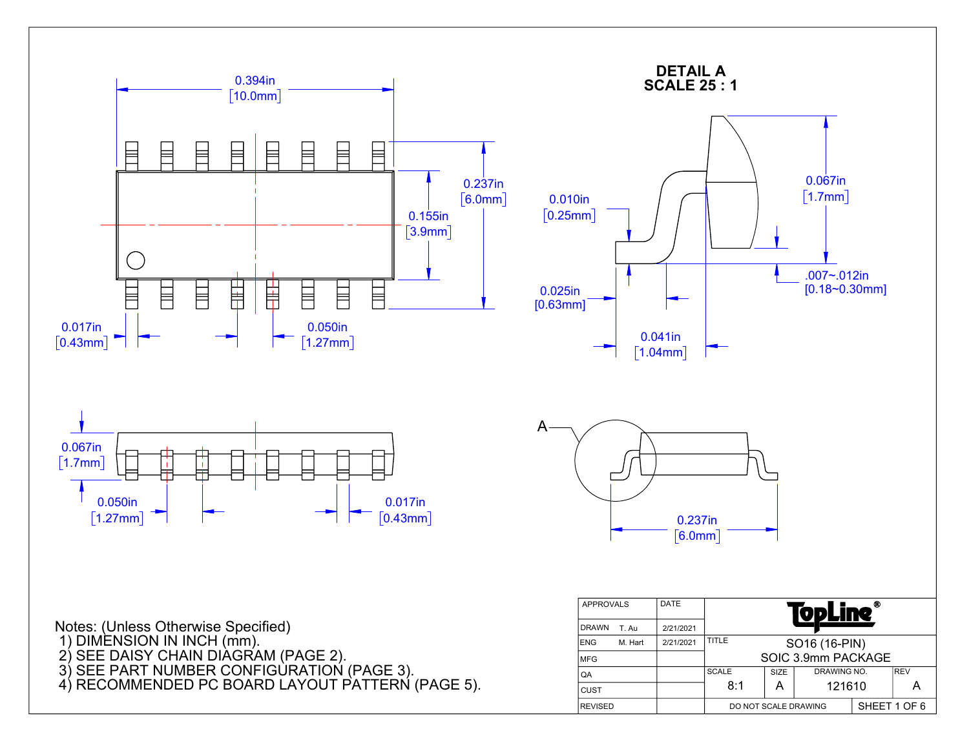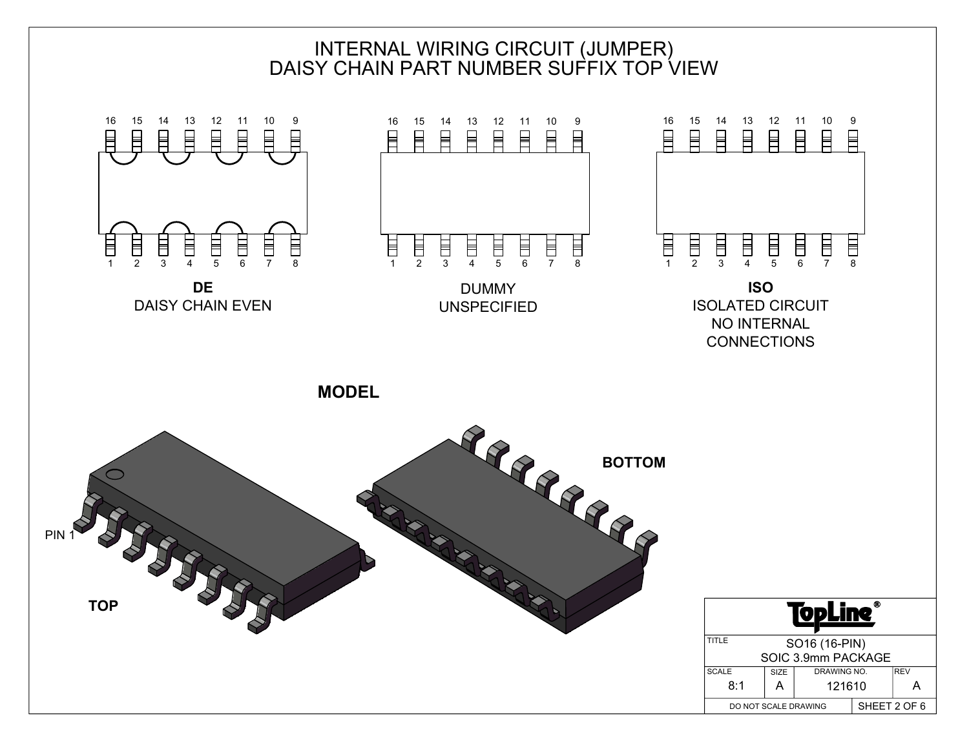

PIN 1

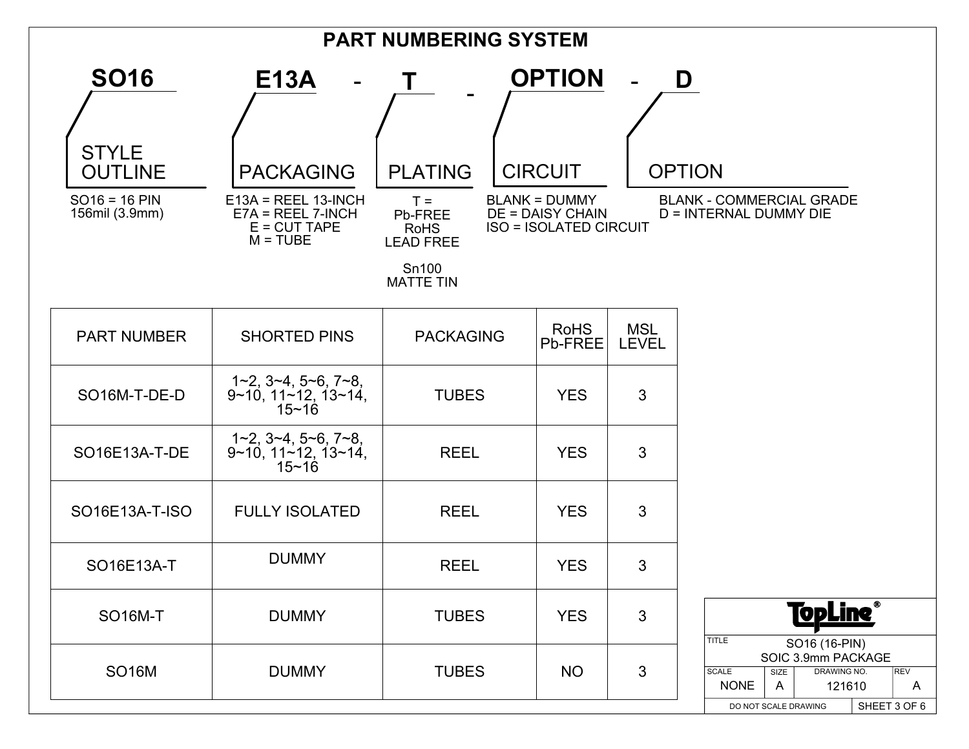| <b>PART NUMBERING SYSTEM</b>                  |                                                                              |                                                                                  |                                                                                  |                            |                                                                                                                                             |
|-----------------------------------------------|------------------------------------------------------------------------------|----------------------------------------------------------------------------------|----------------------------------------------------------------------------------|----------------------------|---------------------------------------------------------------------------------------------------------------------------------------------|
| <b>SO16</b><br><b>STYLE</b><br><b>OUTLINE</b> | E13A<br>$\sim$<br><b>PACKAGING</b>                                           | Τ<br><b>PLATING</b>                                                              | <b>OPTION</b><br><b>CIRCUIT</b>                                                  | $\blacksquare$             | D<br><b>OPTION</b>                                                                                                                          |
| $SO16 = 16$ PIN<br>156mil (3.9mm)             | $E13A = REEL 13-INCH$<br>$E7A = REEL 7-INCH$<br>$E = CUT$ TAPE<br>$M = TUBE$ | $T =$<br>Pb-FREE<br><b>RoHS</b><br><b>LEAD FREE</b><br>Sn100<br><b>MATTE TIN</b> | <b>BLANK = DUMMY</b><br><b>DE = DAISY CHAIN</b><br><b>ISO = ISOLATED CIRCUIT</b> |                            | <b>BLANK - COMMERCIAL GRADE</b><br>D = INTERNAL DUMMY DIE                                                                                   |
| <b>PART NUMBER</b>                            | <b>SHORTED PINS</b>                                                          | <b>PACKAGING</b>                                                                 | <b>RoHS</b><br>Pb-FREE                                                           | <b>MSL</b><br><b>LEVEL</b> |                                                                                                                                             |
| SO16M-T-DE-D                                  | 1~2, 3~4, 5~6, 7~8,<br>$9~10$ , $11~12$ , $13~14$ ,<br>$15 - 16$             | <b>TUBES</b>                                                                     | <b>YES</b>                                                                       | 3                          |                                                                                                                                             |
| SO16E13A-T-DE                                 | 1~2, 3~4, 5~6, 7~8,<br>$9~10, 11~12, 13~14,$<br>15~16                        | <b>REEL</b>                                                                      | <b>YES</b>                                                                       | 3                          |                                                                                                                                             |
| SO16E13A-T-ISO                                | <b>FULLY ISOLATED</b>                                                        | <b>REEL</b>                                                                      | <b>YES</b>                                                                       | 3                          |                                                                                                                                             |
| SO16E13A-T                                    | <b>DUMMY</b>                                                                 | <b>REEL</b>                                                                      | <b>YES</b>                                                                       | 3                          |                                                                                                                                             |
| <b>SO16M-T</b>                                | <b>DUMMY</b>                                                                 | <b>TUBES</b>                                                                     | <b>YES</b>                                                                       | 3                          | <u>TopLine®</u><br><b>TITLE</b><br>SO16 (16-PIN)                                                                                            |
| <b>SO16M</b>                                  | <b>DUMMY</b>                                                                 | <b>TUBES</b>                                                                     | <b>NO</b>                                                                        | 3                          | SOIC 3.9mm PACKAGE<br>DRAWING NO.<br><b>SCALE</b><br>REV<br>SIZE<br><b>NONE</b><br>A<br>121610<br>A<br>SHEET 3 OF 6<br>DO NOT SCALE DRAWING |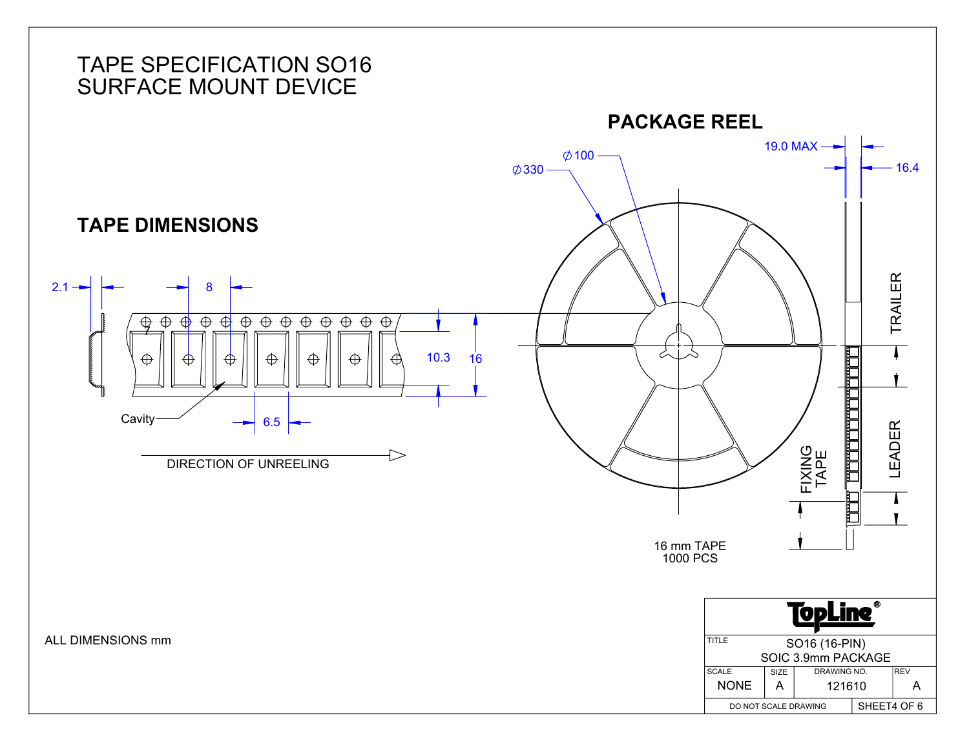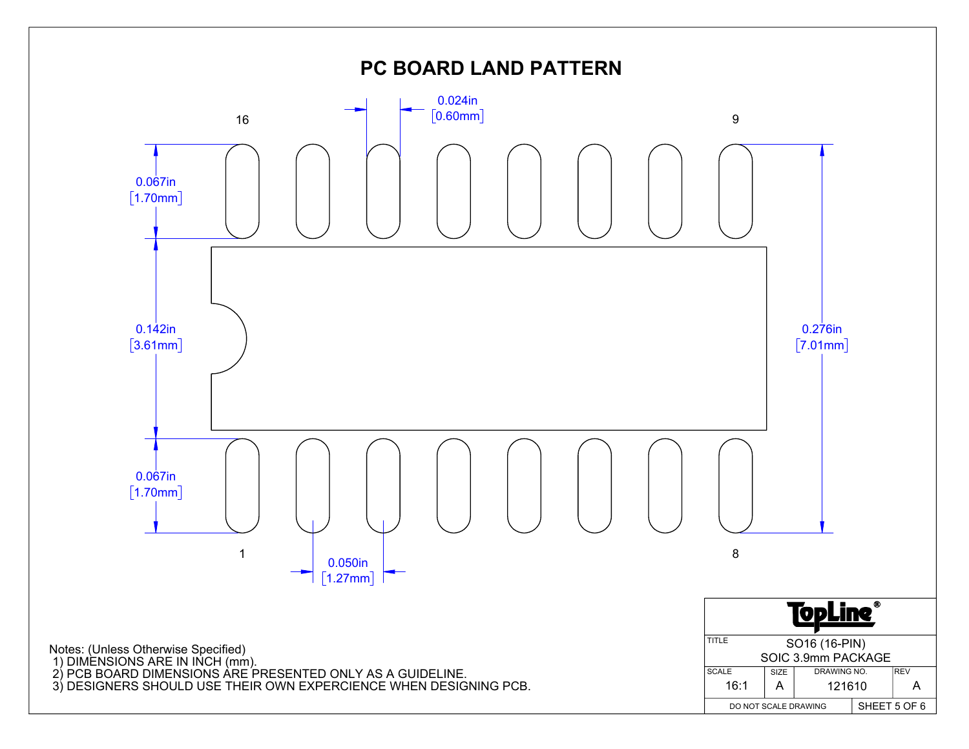